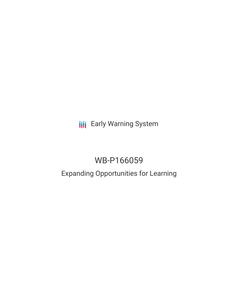**III** Early Warning System

# WB-P166059

# Expanding Opportunities for Learning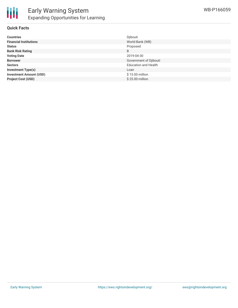

### **Quick Facts**

| <b>Countries</b>               | Djibouti                    |
|--------------------------------|-----------------------------|
| <b>Financial Institutions</b>  | World Bank (WB)             |
| <b>Status</b>                  | Proposed                    |
| <b>Bank Risk Rating</b>        | B                           |
| <b>Voting Date</b>             | 2019-04-30                  |
| <b>Borrower</b>                | Government of Djibouti      |
| <b>Sectors</b>                 | <b>Education and Health</b> |
| <b>Investment Type(s)</b>      | Loan                        |
| <b>Investment Amount (USD)</b> | \$15.00 million             |
| <b>Project Cost (USD)</b>      | \$25.00 million             |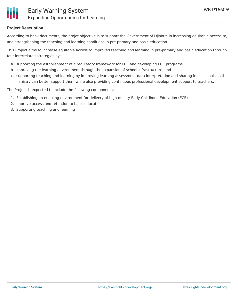

### **Project Description**

According to bank documents, the projet objective is to support the Government of Djibouti in increasing equitable access to, and strengthening the teaching and learning conditions in pre-primary and basic education.

This Project aims to increase equitable access to improved teaching and learning in pre-primary and basic education through four interrelated strategies by:

- a. supporting the establishment of a regulatory framework for ECE and developing ECE programs,
- b. improving the learning environment through the expansion of school infrastructure, and
- c. supporting teaching and learning by improving learning assessment data interpretation and sharing in all schools so the ministry can better support them while also providing continuous professional development support to teachers.

The Project is expected to include the following components:

- 1. Establishing an enabling environment for delivery of high-quality Early Childhood Education (ECE)
- 2. Improve access and retention to basic education
- 3. Supporting teaching and learning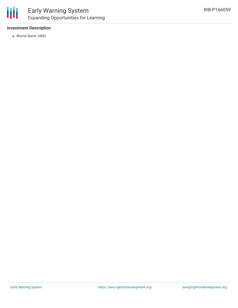### **Investment Description**

World Bank (WB)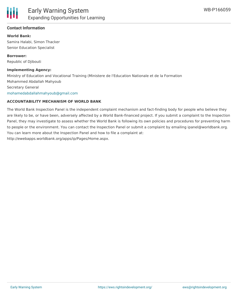### **Contact Information**

**World Bank:** Samira Halabi, Simon Thacker Senior Education Specialist

**Borrower:** Republic of Djibouti

#### **Implementing Agency:**

Ministry of Education and Vocational Training (Ministere de l'Education Nationale et de la Formation Mohammed Abdallah Mahyoub Secretary General [mohamedabdallahmahyoub@gmail.com](mailto:mohamedabdallahmahyoub@gmail.com)

#### **ACCOUNTABILITY MECHANISM OF WORLD BANK**

The World Bank Inspection Panel is the independent complaint mechanism and fact-finding body for people who believe they are likely to be, or have been, adversely affected by a World Bank-financed project. If you submit a complaint to the Inspection Panel, they may investigate to assess whether the World Bank is following its own policies and procedures for preventing harm to people or the environment. You can contact the Inspection Panel or submit a complaint by emailing ipanel@worldbank.org. You can learn more about the Inspection Panel and how to file a complaint at: http://ewebapps.worldbank.org/apps/ip/Pages/Home.aspx.